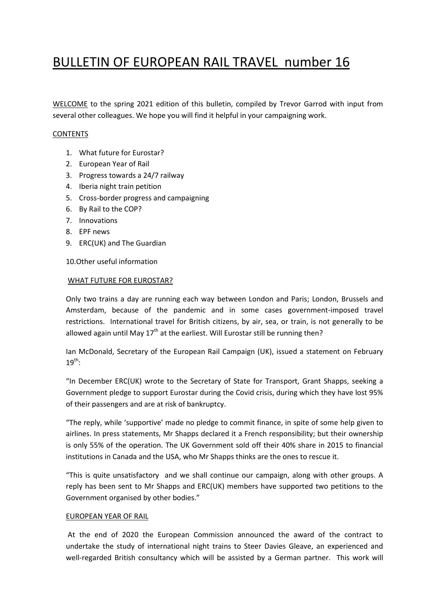# BULLETIN OF EUROPEAN RAIL TRAVEL number 16

WELCOME to the spring 2021 edition of this bulletin, compiled by Trevor Garrod with input from several other colleagues. We hope you will find it helpful in your campaigning work.

# **CONTENTS**

- 1. What future for Eurostar?
- 2. European Year of Rail
- 3. Progress towards a 24/7 railway
- 4. Iberia night train petition
- 5. Cross-border progress and campaigning
- 6. By Rail to the COP?
- 7. Innovations
- 8. EPF news
- 9. ERC(UK) and The Guardian

10.Other useful information

#### WHAT FUTURE FOR EUROSTAR?

Only two trains a day are running each way between London and Paris; London, Brussels and Amsterdam, because of the pandemic and in some cases government-imposed travel restrictions. International travel for British citizens, by air, sea, or train, is not generally to be allowed again until May  $17<sup>th</sup>$  at the earliest. Will Eurostar still be running then?

Ian McDonald, Secretary of the European Rail Campaign (UK), issued a statement on February  $19^{th}$ :

"In December ERC(UK) wrote to the Secretary of State for Transport, Grant Shapps, seeking a Government pledge to support Eurostar during the Covid crisis, during which they have lost 95% of their passengers and are at risk of bankruptcy.

"The reply, while 'supportive' made no pledge to commit finance, in spite of some help given to airlines. In press statements, Mr Shapps declared it a French responsibility; but their ownership is only 55% of the operation. The UK Government sold off their 40% share in 2015 to financial institutions in Canada and the USA, who Mr Shapps thinks are the ones to rescue it.

"This is quite unsatisfactory and we shall continue our campaign, along with other groups. A reply has been sent to Mr Shapps and ERC(UK) members have supported two petitions to the Government organised by other bodies."

## EUROPEAN YEAR OF RAIL

At the end of 2020 the European Commission announced the award of the contract to undertake the study of international night trains to Steer Davies Gleave, an experienced and well-regarded British consultancy which will be assisted by a German partner. This work will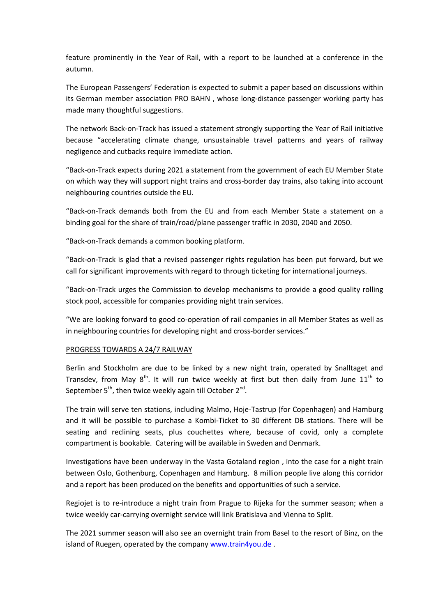feature prominently in the Year of Rail, with a report to be launched at a conference in the autumn.

The European Passengers' Federation is expected to submit a paper based on discussions within its German member association PRO BAHN , whose long-distance passenger working party has made many thoughtful suggestions.

The network Back-on-Track has issued a statement strongly supporting the Year of Rail initiative because "accelerating climate change, unsustainable travel patterns and years of railway negligence and cutbacks require immediate action.

"Back-on-Track expects during 2021 a statement from the government of each EU Member State on which way they will support night trains and cross-border day trains, also taking into account neighbouring countries outside the EU.

"Back-on-Track demands both from the EU and from each Member State a statement on a binding goal for the share of train/road/plane passenger traffic in 2030, 2040 and 2050.

"Back-on-Track demands a common booking platform.

"Back-on-Track is glad that a revised passenger rights regulation has been put forward, but we call for significant improvements with regard to through ticketing for international journeys.

"Back-on-Track urges the Commission to develop mechanisms to provide a good quality rolling stock pool, accessible for companies providing night train services.

"We are looking forward to good co-operation of rail companies in all Member States as well as in neighbouring countries for developing night and cross-border services."

## PROGRESS TOWARDS A 24/7 RAILWAY

Berlin and Stockholm are due to be linked by a new night train, operated by Snalltaget and Transdev, from May  $8^{th}$ . It will run twice weekly at first but then daily from June  $11^{th}$  to September 5<sup>th</sup>, then twice weekly again till October 2<sup>nd</sup>.

The train will serve ten stations, including Malmo, Hoje-Tastrup (for Copenhagen) and Hamburg and it will be possible to purchase a Kombi-Ticket to 30 different DB stations. There will be seating and reclining seats, plus couchettes where, because of covid, only a complete compartment is bookable. Catering will be available in Sweden and Denmark.

Investigations have been underway in the Vasta Gotaland region , into the case for a night train between Oslo, Gothenburg, Copenhagen and Hamburg. 8 million people live along this corridor and a report has been produced on the benefits and opportunities of such a service.

Regiojet is to re-introduce a night train from Prague to Rijeka for the summer season; when a twice weekly car-carrying overnight service will link Bratislava and Vienna to Split.

The 2021 summer season will also see an overnight train from Basel to the resort of Binz, on the island of Ruegen, operated by the company [www.train4you.de](http://www.train4you.de/) .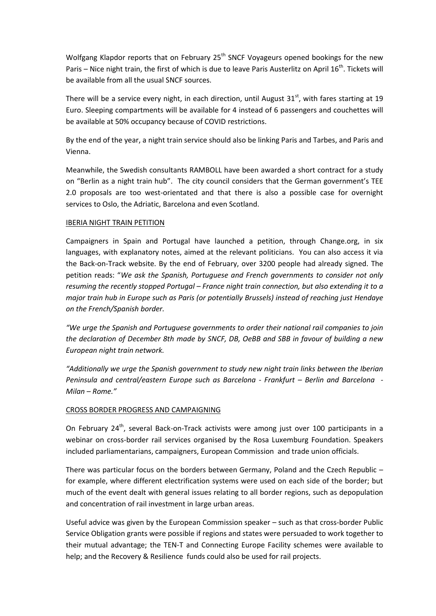Wolfgang Klapdor reports that on February  $25<sup>th</sup>$  SNCF Voyageurs opened bookings for the new Paris – Nice night train, the first of which is due to leave Paris Austerlitz on April 16<sup>th</sup>. Tickets will be available from all the usual SNCF sources.

There will be a service every night, in each direction, until August  $31<sup>st</sup>$ , with fares starting at 19 Euro. Sleeping compartments will be available for 4 instead of 6 passengers and couchettes will be available at 50% occupancy because of COVID restrictions.

By the end of the year, a night train service should also be linking Paris and Tarbes, and Paris and Vienna.

Meanwhile, the Swedish consultants RAMBOLL have been awarded a short contract for a study on "Berlin as a night train hub". The city council considers that the German government's TEE 2.0 proposals are too west-orientated and that there is also a possible case for overnight services to Oslo, the Adriatic, Barcelona and even Scotland.

## IBERIA NIGHT TRAIN PETITION

Campaigners in Spain and Portugal have launched a petition, through Change.org, in six languages, with explanatory notes, aimed at the relevant politicians. You can also access it via the Back-on-Track website. By the end of February, over 3200 people had already signed. The petition reads: "*We ask the Spanish, Portuguese and French governments to consider not only resuming the recently stopped Portugal – France night train connection, but also extending it to a major train hub in Europe such as Paris (or potentially Brussels) instead of reaching just Hendaye on the French/Spanish border.*

*"We urge the Spanish and Portuguese governments to order their national rail companies to join the declaration of December 8th made by SNCF, DB, OeBB and SBB in favour of building a new European night train network.*

*"Additionally we urge the Spanish government to study new night train links between the Iberian Peninsula and central/eastern Europe such as Barcelona - Frankfurt – Berlin and Barcelona - Milan – Rome."*

# CROSS BORDER PROGRESS AND CAMPAIGNING

On February 24<sup>th</sup>, several Back-on-Track activists were among just over 100 participants in a webinar on cross-border rail services organised by the Rosa Luxemburg Foundation. Speakers included parliamentarians, campaigners, European Commission and trade union officials.

There was particular focus on the borders between Germany, Poland and the Czech Republic – for example, where different electrification systems were used on each side of the border; but much of the event dealt with general issues relating to all border regions, such as depopulation and concentration of rail investment in large urban areas.

Useful advice was given by the European Commission speaker – such as that cross-border Public Service Obligation grants were possible if regions and states were persuaded to work together to their mutual advantage; the TEN-T and Connecting Europe Facility schemes were available to help; and the Recovery & Resilience funds could also be used for rail projects.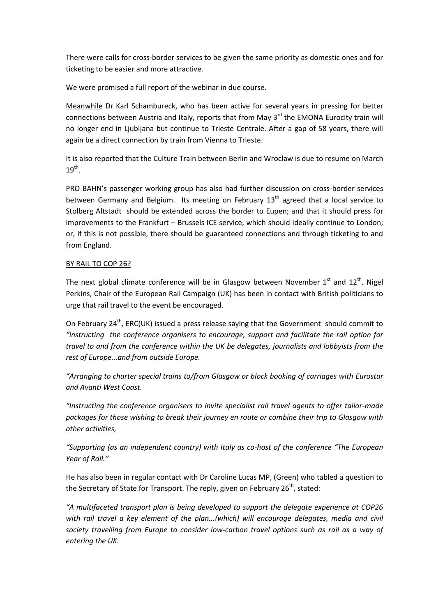There were calls for cross-border services to be given the same priority as domestic ones and for ticketing to be easier and more attractive.

We were promised a full report of the webinar in due course.

Meanwhile Dr Karl Schambureck, who has been active for several years in pressing for better connections between Austria and Italy, reports that from May  $3<sup>rd</sup>$  the EMONA Eurocity train will no longer end in Ljubljana but continue to Trieste Centrale. After a gap of 58 years, there will again be a direct connection by train from Vienna to Trieste.

It is also reported that the Culture Train between Berlin and Wroclaw is due to resume on March  $19^{\text{th}}$ .

PRO BAHN's passenger working group has also had further discussion on cross-border services between Germany and Belgium. Its meeting on February  $13<sup>th</sup>$  agreed that a local service to Stolberg Altstadt should be extended across the border to Eupen; and that it should press for improvements to the Frankfurt – Brussels ICE service, which should ideally continue to London; or, if this is not possible, there should be guaranteed connections and through ticketing to and from England.

# BY RAIL TO COP 26?

The next global climate conference will be in Glasgow between November  $1<sup>st</sup>$  and  $12<sup>th</sup>$ . Nigel Perkins, Chair of the European Rail Campaign (UK) has been in contact with British politicians to urge that rail travel to the event be encouraged.

On February 24<sup>th</sup>, ERC(UK) issued a press release saying that the Government should commit to *"instructing the conference organisers to encourage, support and facilitate the rail option for travel to and from the conference within the UK be delegates, journalists and lobbyists from the rest of Europe...and from outside Europe.*

"Arranging to charter special trains to/from Glasgow or block booking of carriages with Eurostar *and Avanti West Coast.*

*"Instructing the conference organisers to invite specialist rail travel agents to offer tailor-made packages for those wishing to break their journey en route or combine their trip to Glasgow with other activities,*

*"Supporting (as an independent country) with Italy as co-host of the conference "The European Year of Rail."*

He has also been in regular contact with Dr Caroline Lucas MP, (Green) who tabled a question to the Secretary of State for Transport. The reply, given on February  $26<sup>th</sup>$ , stated:

*"A multifaceted transport plan is being developed to support the delegate experience at COP26 with rail travel a key element of the plan...(which) will encourage delegates, media and civil society travelling from Europe to consider low-carbon travel options such as rail as a way of entering the UK.*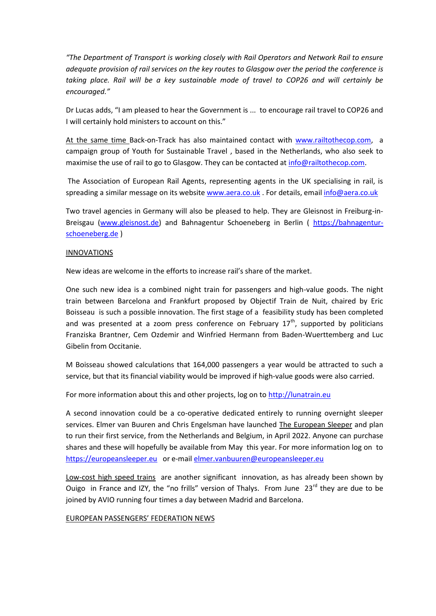*"The Department of Transport is working closely with Rail Operators and Network Rail to ensure adequate provision of rail services on the key routes to Glasgow over the period the conference is taking place. Rail will be a key sustainable mode of travel to COP26 and will certainly be encouraged."*

Dr Lucas adds, "I am pleased to hear the Government is ... to encourage rail travel to COP26 and I will certainly hold ministers to account on this."

At the same time Back-on-Track has also maintained contact with [www.railtothecop.com,](http://www.railtothecop.com/) a campaign group of Youth for Sustainable Travel , based in the Netherlands, who also seek to maximise the use of rail to go to Glasgow. They can be contacted at [info@railtothecop.com.](mailto:info@railtothecop.com)

The Association of European Rail Agents, representing agents in the UK specialising in rail, is spreading a similar message on its website [www.aera.co.uk](http://www.aera.co.uk/) . For details, email info@aera.co.uk

Two travel agencies in Germany will also be pleased to help. They are Gleisnost in Freiburg-in-Breisgau [\(www.gleisnost.de\)](http://www.gleisnost.de/) and Bahnagentur Schoeneberg in Berlin ( [https://bahnagentur](https://bahnagentur-schoeneberg.de/)[schoeneberg.de](https://bahnagentur-schoeneberg.de/) )

## INNOVATIONS

New ideas are welcome in the efforts to increase rail's share of the market.

One such new idea is a combined night train for passengers and high-value goods. The night train between Barcelona and Frankfurt proposed by Objectif Train de Nuit, chaired by Eric Boisseau is such a possible innovation. The first stage of a feasibility study has been completed and was presented at a zoom press conference on February  $17<sup>th</sup>$ , supported by politicians Franziska Brantner, Cem Ozdemir and Winfried Hermann from Baden-Wuerttemberg and Luc Gibelin from Occitanie.

M Boisseau showed calculations that 164,000 passengers a year would be attracted to such a service, but that its financial viability would be improved if high-value goods were also carried.

For more information about this and other projects, log on to [http://lunatrain.eu](http://lunatrain.eu/) 

A second innovation could be a co-operative dedicated entirely to running overnight sleeper services. Elmer van Buuren and Chris Engelsman have launched The European Sleeper and plan to run their first service, from the Netherlands and Belgium, in April 2022. Anyone can purchase shares and these will hopefully be available from May this year. For more information log on to [https://europeansleeper.eu](https://europeansleeper.eu/) or e-mail [elmer.vanbuuren@europeansleeper.eu](mailto:elmer.vanbuuren@europeansleeper.eu) 

Low-cost high speed trains are another significant innovation, as has already been shown by Ouigo in France and IZY, the "no frills" version of Thalys. From June 23<sup>rd</sup> they are due to be joined by AVIO running four times a day between Madrid and Barcelona.

## EUROPEAN PASSENGERS' FEDERATION NEWS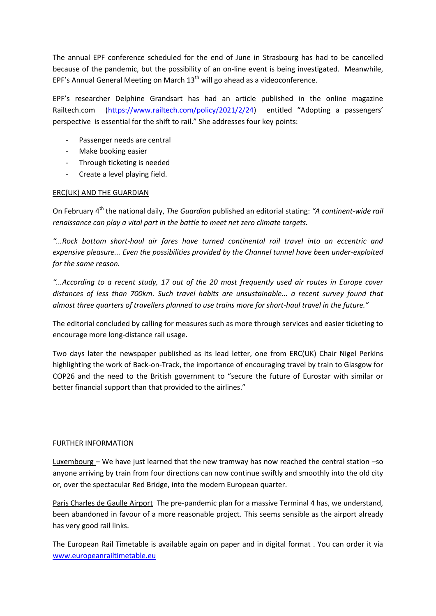The annual EPF conference scheduled for the end of June in Strasbourg has had to be cancelled because of the pandemic, but the possibility of an on-line event is being investigated. Meanwhile, EPF's Annual General Meeting on March  $13<sup>th</sup>$  will go ahead as a videoconference.

EPF's researcher Delphine Grandsart has had an article published in the online magazine Railtech.com [\(https://www.railtech.com/policy/2021/2/24](https://www.railtech.com/policy/2021/2/24)) entitled "Adopting a passengers' perspective is essential for the shift to rail." She addresses four key points:

- Passenger needs are central
- Make booking easier
- Through ticketing is needed
- Create a level playing field.

# ERC(UK) AND THE GUARDIAN

On February 4<sup>th</sup> the national daily, *The Guardian* published an editorial stating: "A continent-wide rail *renaissance can play a vital part in the battle to meet net zero climate targets.*

*"...Rock bottom short-haul air fares have turned continental rail travel into an eccentric and expensive pleasure... Even the possibilities provided by the Channel tunnel have been under-exploited for the same reason.*

*"...According to a recent study, 17 out of the 20 most frequently used air routes in Europe cover distances of less than 700km. Such travel habits are unsustainable... a recent survey found that almost three quarters of travellers planned to use trains more for short-haul travel in the future."*

The editorial concluded by calling for measures such as more through services and easier ticketing to encourage more long-distance rail usage.

Two days later the newspaper published as its lead letter, one from ERC(UK) Chair Nigel Perkins highlighting the work of Back-on-Track, the importance of encouraging travel by train to Glasgow for COP26 and the need to the British government to "secure the future of Eurostar with similar or better financial support than that provided to the airlines."

## FURTHER INFORMATION

Luxembourg – We have just learned that the new tramway has now reached the central station –so anyone arriving by train from four directions can now continue swiftly and smoothly into the old city or, over the spectacular Red Bridge, into the modern European quarter.

Paris Charles de Gaulle Airport The pre-pandemic plan for a massive Terminal 4 has, we understand, been abandoned in favour of a more reasonable project. This seems sensible as the airport already has very good rail links.

The European Rail Timetable is available again on paper and in digital format . You can order it via [www.europeanrailtimetable.eu](http://www.europeanrailtimetable.eu/)